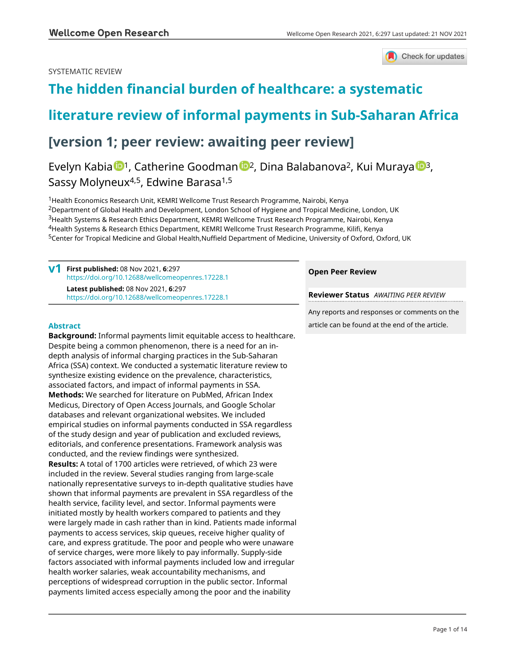## SYSTEMATIC REVIEW



# **[The hidden financial burden of healthcare: a systematic](https://wellcomeopenresearch.org/articles/6-297/v1)**

## **[literature review of informal payments in Sub-Saharan Africa](https://wellcomeopenresearch.org/articles/6-297/v1)**

## **[version 1; peer review: awaiting peer review]**

Evelyn Kabia <sup>[1](https://orcid.org/0000-0002-3473-3603)</sup>, Catheri[n](https://orcid.org/0000-0002-2241-3485)e Goodman <sup>1</sup>2, Dina Balabanova<sup>2</sup>, Kui Muraya <sup>1[3](https://orcid.org/0000-0003-2696-3713)</sup>, Sassy Molyneux<sup>4,5</sup>, Edwine Barasa<sup>1,5</sup>

Health Economics Research Unit, KEMRI Wellcome Trust Research Programme, Nairobi, Kenya <sup>2</sup>Department of Global Health and Development, London School of Hygiene and Tropical Medicine, London, UK Health Systems & Research Ethics Department, KEMRI Wellcome Trust Research Programme, Nairobi, Kenya Health Systems & Research Ethics Department, KEMRI Wellcome Trust Research Programme, Kilifi, Kenya Center for Tropical Medicine and Global Health,Nuffield Department of Medicine, University of Oxford, Oxford, UK

**First published:** 08 Nov 2021, **6**:297 **v1** <https://doi.org/10.12688/wellcomeopenres.17228.1> **Latest published:** 08 Nov 2021, **6**:297 <https://doi.org/10.12688/wellcomeopenres.17228.1>

## **Abstract**

**Background:** Informal payments limit equitable access to healthcare. Despite being a common phenomenon, there is a need for an indepth analysis of informal charging practices in the Sub-Saharan Africa (SSA) context. We conducted a systematic literature review to synthesize existing evidence on the prevalence, characteristics, associated factors, and impact of informal payments in SSA. **Methods:** We searched for literature on PubMed, African Index Medicus, Directory of Open Access Journals, and Google Scholar databases and relevant organizational websites. We included empirical studies on informal payments conducted in SSA regardless of the study design and year of publication and excluded reviews, editorials, and conference presentations. Framework analysis was conducted, and the review findings were synthesized. **Results:** A total of 1700 articles were retrieved, of which 23 were included in the review. Several studies ranging from large-scale nationally representative surveys to in-depth qualitative studies have shown that informal payments are prevalent in SSA regardless of the health service, facility level, and sector. Informal payments were initiated mostly by health workers compared to patients and they were largely made in cash rather than in kind. Patients made informal payments to access services, skip queues, receive higher quality of care, and express gratitude. The poor and people who were unaware of service charges, were more likely to pay informally. Supply-side factors associated with informal payments included low and irregular health worker salaries, weak accountability mechanisms, and perceptions of widespread corruption in the public sector. Informal payments limited access especially among the poor and the inability

## **Open Peer Review**

**Reviewer Status** *AWAITING PEER REVIEW*

Any reports and responses or comments on the article can be found at the end of the article.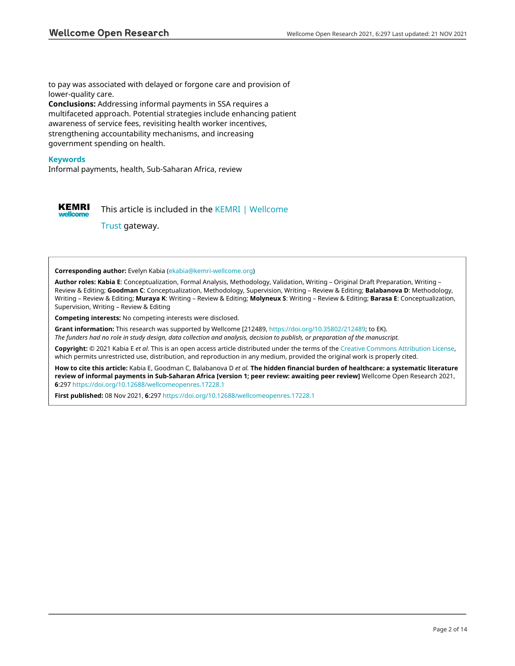to pay was associated with delayed or forgone care and provision of lower-quality care. **Conclusions:** Addressing informal payments in SSA requires a multifaceted approach. Potential strategies include enhancing patient awareness of service fees, revisiting health worker incentives, strengthening accountability mechanisms, and increasing government spending on health.

## **Keywords**

Informal payments, health, Sub-Saharan Africa, review



This article is included in the [KEMRI | Wellcome](https://wellcomeopenresearch.org/gateways/kemri)

[Trust](https://wellcomeopenresearch.org/gateways/kemri) gateway.

#### **Corresponding author:** Evelyn Kabia ([ekabia@kemri-wellcome.org\)](mailto:ekabia@kemri-wellcome.org)

**Author roles: Kabia E**: Conceptualization, Formal Analysis, Methodology, Validation, Writing – Original Draft Preparation, Writing – Review & Editing; **Goodman C**: Conceptualization, Methodology, Supervision, Writing – Review & Editing; **Balabanova D**: Methodology, Writing – Review & Editing; **Muraya K**: Writing – Review & Editing; **Molyneux S**: Writing – Review & Editing; **Barasa E**: Conceptualization, Supervision, Writing – Review & Editing

**Competing interests:** No competing interests were disclosed.

**Grant information:** This research was supported by Wellcome [212489, [https://doi.org/10.35802/212489;](https://doi.org/10.35802/212489) to EK).

*The funders had no role in study design, data collection and analysis, decision to publish, or preparation of the manuscript.*

**Copyright:** © 2021 Kabia E *et al*. This is an open access article distributed under the terms of the [Creative Commons Attribution License](http://creativecommons.org/licenses/by/4.0/), which permits unrestricted use, distribution, and reproduction in any medium, provided the original work is properly cited.

**How to cite this article:** Kabia E, Goodman C, Balabanova D *et al.* **The hidden financial burden of healthcare: a systematic literature review of informal payments in Sub-Saharan Africa [version 1; peer review: awaiting peer review]** Wellcome Open Research 2021, **6**:297<https://doi.org/10.12688/wellcomeopenres.17228.1>

**First published:** 08 Nov 2021, **6**:297 <https://doi.org/10.12688/wellcomeopenres.17228.1>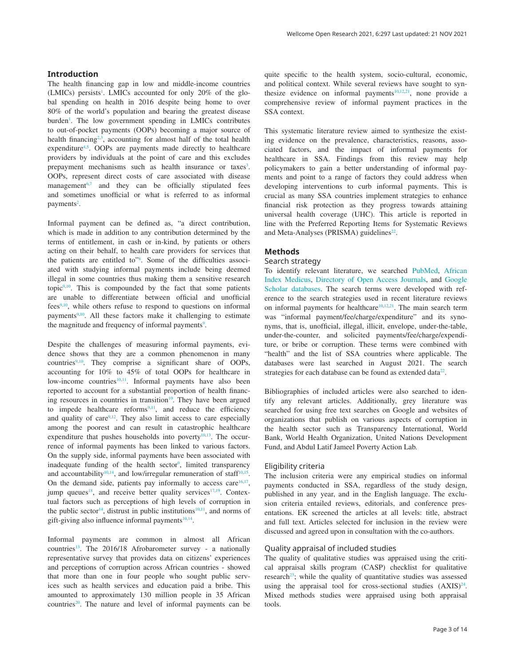## **Introduction**

The health financing gap in low and middle-income countries (LMICs) persists<sup>[1](#page-12-0)</sup>. LMICs accounted for only 20% of the global spending on health in 2016 despite being home to over 80% of the world's population and bearing the greatest disease burden<sup>[1](#page-12-0)</sup>. The low government spending in LMICs contributes to out-of-pocket payments (OOPs) becoming a major source of health financing<sup>[2,3](#page-12-0)</sup>, accounting for almost half of the total health expenditure<sup>4,5</sup>. OOPs are payments made directly to healthcare providers by individuals at the point of care and this excludes prepayment mechanisms such as health insurance or taxes<sup>[3](#page-12-0)</sup>. OOPs, represent direct costs of care associated with disease management<sup>[6,7](#page-12-0)</sup> and they can be officially stipulated fees and sometimes unofficial or what is referred to as informal payments<sup>2</sup>.

Informal payment can be defined as, "a direct contribution, which is made in addition to any contribution determined by the terms of entitlement, in cash or in-kind, by patients or others acting on their behalf, to health care providers for services that the patients are entitled to"[8](#page-12-0) . Some of the difficulties associated with studying informal payments include being deemed illegal in some countries thus making them a sensitive research topic $9,10$ . This is compounded by the fact that some patients are unable to differentiate between official and unofficial  $fees<sup>9,10</sup>$ , while others refuse to respond to questions on informal payments<sup>9,10</sup>. All these factors make it challenging to estimate the magnitude and frequency of informal payments<sup>9</sup>.

Despite the challenges of measuring informal payments, evidence shows that they are a common phenomenon in many countries<sup>9,10</sup>. They comprise a significant share of OOPs, accounting for 10% to 45% of total OOPs for healthcare in low-income countries<sup>[10,11](#page-12-0)</sup>. Informal payments have also been reported to account for a substantial proportion of health financing resources in countries in transition $10$ . They have been argued to impede healthcare reforms $9,11$ , and reduce the efficiency and quality of care $9,12$ . They also limit access to care especially among the poorest and can result in catastrophic healthcare expenditure that pushes households into poverty $10,13$ . The occurrence of informal payments has been linked to various factors. On the supply side, informal payments have been associated with inadequate funding of the health sector<sup>9</sup>, limited transparency and accountability<sup>[10,14](#page-12-0)</sup>, and low/irregular remuneration of staff<sup>[10,15](#page-12-0)</sup>. On the demand side, patients pay informally to access care $16,17$ , jump queues<sup>18</sup>, and receive better quality services<sup>17,19</sup>. Contextual factors such as perceptions of high levels of corruption in the public sector<sup>14</sup>, distrust in public institutions<sup>10,11</sup>, and norms of gift-giving also influence informal payments $10,14$ .

Informal payments are common in almost all African countries<sup>13</sup>. The 2016/18 Afrobarometer survey - a nationally representative survey that provides data on citizens' experiences and perceptions of corruption across African countries - showed that more than one in four people who sought public services such as health services and education paid a bribe. This amounted to approximately 130 million people in 35 African countries<sup>20</sup>. The nature and level of informal payments can be

quite specific to the health system, socio-cultural, economic, and political context. While several reviews have sought to syn-thesize evidence on informal payments<sup>[10,12,21](#page-12-0)</sup>, none provide a comprehensive review of informal payment practices in the SSA context.

This systematic literature review aimed to synthesize the existing evidence on the prevalence, characteristics, reasons, associated factors, and the impact of informal payments for healthcare in SSA. Findings from this review may help policymakers to gain a better understanding of informal payments and point to a range of factors they could address when developing interventions to curb informal payments. This is crucial as many SSA countries implement strategies to enhance financial risk protection as they progress towards attaining universal health coverage (UHC). This article is reported in line with the Preferred Reporting Items for Systematic Reviews and Meta-Analyses (PRISMA) guidelines<sup>22</sup>.

#### **Methods**

## Search strategy

To identify relevant literature, we searched [PubMed,](https://pubmed.ncbi.nlm.nih.gov/) [African](https://www.globalindexmedicus.net/biblioteca/aim/)  [Index Medicus,](https://www.globalindexmedicus.net/biblioteca/aim/) [Directory of Open Access Journals,](https://doaj.org/) and [Google](https://scholar.google.com/)  [Scholar databases](https://scholar.google.com/). The search terms were developed with reference to the search strategies used in recent literature reviews on informal payments for healthcare<sup>10,12,21</sup>. The main search term was "informal payment/fee/charge/expenditure" and its synonyms, that is, unofficial, illegal, illicit, envelope, under-the-table, under-the-counter, and solicited payments/fee/charge/expenditure, or bribe or corruption. These terms were combined with "health" and the list of SSA countries where applicable. The databases were last searched in August 2021. The search strategies for each database can be found as extended data $^{22}$ .

Bibliographies of included articles were also searched to identify any relevant articles. Additionally, grey literature was searched for using free text searches on Google and websites of organizations that publish on various aspects of corruption in the health sector such as Transparency International, World Bank, World Health Organization, United Nations Development Fund, and Abdul Latif Jameel Poverty Action Lab.

#### Eligibility criteria

The inclusion criteria were any empirical studies on informal payments conducted in SSA, regardless of the study design, published in any year, and in the English language. The exclusion criteria entailed reviews, editorials, and conference presentations. EK screened the articles at all levels: title, abstract and full text. Articles selected for inclusion in the review were discussed and agreed upon in consultation with the co-authors.

### Quality appraisal of included studies

The quality of qualitative studies was appraised using the critical appraisal skills program (CASP) checklist for qualitative research<sup>23</sup>; while the quality of quantitative studies was assessed using the appraisal tool for cross-sectional studies  $(AXIS)^{24}$ . Mixed methods studies were appraised using both appraisal tools.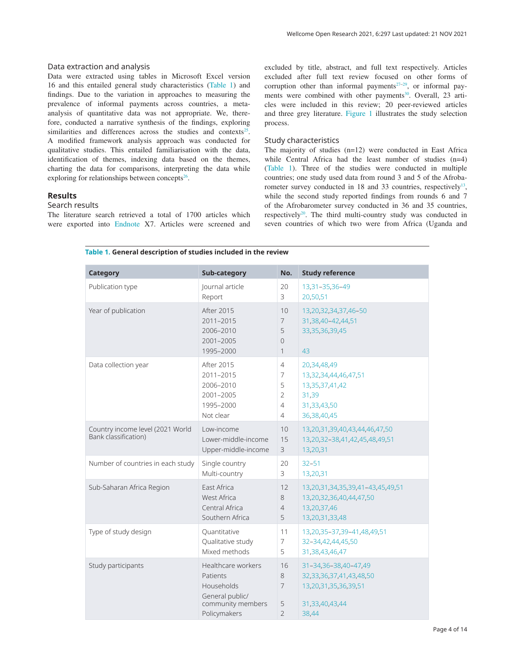#### Data extraction and analysis

Data were extracted using tables in Microsoft Excel version 16 and this entailed general study characteristics (Table 1) and findings. Due to the variation in approaches to measuring the prevalence of informal payments across countries, a metaanalysis of quantitative data was not appropriate. We, therefore, conducted a narrative synthesis of the findings, exploring similarities and differences across the studies and contexts<sup>25</sup>. A modified framework analysis approach was conducted for qualitative studies. This entailed familiarisation with the data, identification of themes, indexing data based on the themes, charting the data for comparisons, interpreting the data while exploring for relationships between concepts $26$ .

## **Results**

## Search results

The literature search retrieved a total of 1700 articles which were exported into [Endnote](https://endnote.com/) X7. Articles were screened and excluded by title, abstract, and full text respectively. Articles excluded after full text review focused on other forms of corruption other than informal payments<sup> $27-29$ </sup>, or informal payments were combined with other payments<sup>30</sup>. Overall, 23 articles were included in this review; 20 peer-reviewed articles and three grey literature. [Figure 1](#page-4-0) illustrates the study selection process.

### Study characteristics

The majority of studies (n=12) were conducted in East Africa while Central Africa had the least number of studies (n=4) (Table 1). Three of the studies were conducted in multiple countries; one study used data from round 3 and 5 of the Afrobarometer survey conducted in 18 and 33 countries, respectively<sup>13</sup>, while the second study reported findings from rounds 6 and 7 of the Afrobarometer survey conducted in 36 and 35 countries, respectively<sup>[20](#page-12-0)</sup>. The third multi-country study was conducted in seven countries of which two were from Africa (Uganda and

|  |  |  |  |  | Table 1. General description of studies included in the review |
|--|--|--|--|--|----------------------------------------------------------------|
|--|--|--|--|--|----------------------------------------------------------------|

| <b>Category</b>                                          | Sub-category                                                                                         | No.                                              | <b>Study reference</b>                                                                                    |
|----------------------------------------------------------|------------------------------------------------------------------------------------------------------|--------------------------------------------------|-----------------------------------------------------------------------------------------------------------|
| Publication type                                         | Journal article                                                                                      | 20                                               | 13,31-35,36-49                                                                                            |
|                                                          | Report                                                                                               | 3                                                | 20,50,51                                                                                                  |
| Year of publication                                      | After 2015<br>2011-2015<br>2006-2010<br>2001-2005<br>1995-2000                                       | 10<br>$\overline{7}$<br>5<br>$\Omega$<br>1       | 13,20,32,34,37,46-50<br>31,38,40-42,44,51<br>33, 35, 36, 39, 45<br>43                                     |
| Data collection year                                     | After 2015                                                                                           | $\overline{4}$                                   | 20,34,48,49                                                                                               |
|                                                          | 2011-2015                                                                                            | $\overline{7}$                                   | 13,32,34,44,46,47,51                                                                                      |
|                                                          | 2006-2010                                                                                            | 5                                                | 13, 35, 37, 41, 42                                                                                        |
|                                                          | 2001-2005                                                                                            | $\overline{2}$                                   | 31,39                                                                                                     |
|                                                          | 1995-2000                                                                                            | $\overline{4}$                                   | 31,33,43,50                                                                                               |
|                                                          | Not clear                                                                                            | $\overline{4}$                                   | 36, 38, 40, 45                                                                                            |
| Country income level (2021 World<br>Bank classification) | Low-income<br>Lower-middle-income<br>Upper-middle-income                                             | 10<br>15<br>3                                    | 13,20,31,39,40,43,44,46,47,50<br>13,20,32-38,41,42,45,48,49,51<br>13,20,31                                |
| Number of countries in each study                        | Single country                                                                                       | 20                                               | $32 - 51$                                                                                                 |
|                                                          | Multi-country                                                                                        | 3                                                | 13,20,31                                                                                                  |
| Sub-Saharan Africa Region                                | <b>East Africa</b>                                                                                   | 12                                               | 13,20,31,34,35,39,41-43,45,49,51                                                                          |
|                                                          | <b>West Africa</b>                                                                                   | 8                                                | 13,20,32,36,40,44,47,50                                                                                   |
|                                                          | Central Africa                                                                                       | $\overline{4}$                                   | 13,20,37,46                                                                                               |
|                                                          | Southern Africa                                                                                      | 5                                                | 13,20,31,33,48                                                                                            |
| Type of study design                                     | Quantitative                                                                                         | 11                                               | 13,20,35-37,39-41,48,49,51                                                                                |
|                                                          | Qualitative study                                                                                    | $\overline{7}$                                   | 32-34,42,44,45,50                                                                                         |
|                                                          | Mixed methods                                                                                        | 5                                                | 31, 38, 43, 46, 47                                                                                        |
| Study participants                                       | Healthcare workers<br>Patients<br>Households<br>General public/<br>community members<br>Policymakers | 16<br>8<br>$\overline{7}$<br>5<br>$\overline{2}$ | 31-34,36-38,40-47,49<br>32, 33, 36, 37, 41, 43, 48, 50<br>13,20,31,35,36,39,51<br>31,33,40,43,44<br>38,44 |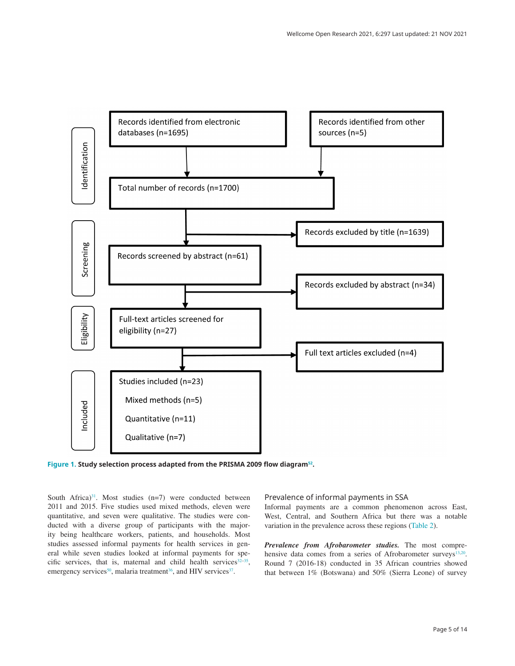<span id="page-4-0"></span>

**Figure 1. Study selection process adapted from the PRISMA 2009 flow diagram[52.](#page-13-0)**

South Africa) $31$ . Most studies (n=7) were conducted between 2011 and 2015. Five studies used mixed methods, eleven were quantitative, and seven were qualitative. The studies were conducted with a diverse group of participants with the majority being healthcare workers, patients, and households. Most studies assessed informal payments for health services in general while seven studies looked at informal payments for specific services, that is, maternal and child health services $32-35$  $32-35$ , emergency services<sup>50</sup>, malaria treatment<sup>36</sup>, and HIV services<sup>37</sup>.

#### Prevalence of informal payments in SSA

Informal payments are a common phenomenon across East, West, Central, and Southern Africa but there was a notable variation in the prevalence across these regions [\(Table 2\)](#page-5-0).

*Prevalence from Afrobarometer studies.* The most compre-hensive data comes from a series of Afrobarometer surveys<sup>[13,20](#page-12-0)</sup>. Round 7 (2016-18) conducted in 35 African countries showed that between 1% (Botswana) and 50% (Sierra Leone) of survey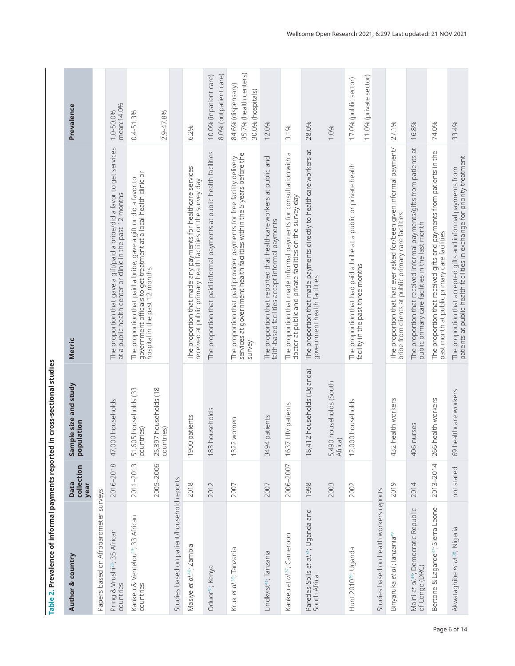<span id="page-5-0"></span>

| Author & country                                                   | collection<br><b>Data</b><br>year | Sample size and study<br>ulation<br>popl | <b>Metric</b>                                                                                                                                             | Prevalence                                                        |
|--------------------------------------------------------------------|-----------------------------------|------------------------------------------|-----------------------------------------------------------------------------------------------------------------------------------------------------------|-------------------------------------------------------------------|
| Papers based on Afrobarometer surveys                              |                                   |                                          |                                                                                                                                                           |                                                                   |
| Pring & Vrushi <sup>20</sup> ; 35 African<br>countries             | 2016-2018                         | 47,000 households                        | The proportion that gave a gift/paid a bribe/did a favor to get services<br>at a public health center or clinic in the past 12 months                     | mean:14.0%<br>1.0-50.0%                                           |
| Kankeu & Ventelou <sup>13</sup> ; 33 African<br>countries          | 2011-2013                         | 51,605 households (33<br>countries)      | The proportion that paid a bribe, gave a gift or did a favor to<br>government officials to get treatment at a local health clinic or                      | $0.4 - 51.3%$                                                     |
|                                                                    | 2005-2006                         | 25,397 households (18<br>countries)      | hospital in the past 12 months                                                                                                                            | 2.9-47.8%                                                         |
| Studies based on patient/household reports                         |                                   |                                          |                                                                                                                                                           |                                                                   |
| Masiye et al. <sup>48</sup> ; Zambia                               | 2018                              | patients<br>1900                         | The proportion that made any payments for healthcare services<br>received at public primary health facilities on the survey day                           | 6.2%                                                              |
| Oduor <sup>51</sup> ; Kenya                                        | 2012                              | 183 households                           | The proportion that paid informal payments at public health facilities                                                                                    | 8.0% (outpatient care)<br>10.0% (inpatient care)                  |
| Kruk et al. <sup>35</sup> ; Tanzania                               | 2007                              | 1322 women                               | The proportion that paid provider payments for free facility delivery<br>services at government health facilities within the 5 years before the<br>survey | 35.7% (health centers)<br>84.6% (dispensary)<br>30.0% (hospitals) |
| Lindkvist <sup>41</sup> ; Tanzania                                 | 2007                              | patients<br>3494                         | The proportion that reported that healthcare workers at public and<br>faith-based facilities accept informal payments                                     | 12.0%                                                             |
| Kankeu et al. <sup>37</sup> ; Cameroon                             | 2006-2007                         | HIV patients<br>1637                     | The proportion that made informal payments for consultation with a<br>doctor at public and private facilities on the survey day                           | 3.1%                                                              |
| Paredes-Solís <i>et al</i> .31; Uganda and<br>South Africa         | 1998                              | 2 households (Uganda)<br>18,41           | The proportion that made payments directly to healthcare workers at<br>government health facilities                                                       | 28.0%                                                             |
|                                                                    | 2003                              | 5,490 households (South<br>Africa)       |                                                                                                                                                           | 1.0%                                                              |
| Hunt 2010 <sup>39</sup> ; Uganda                                   | 2002                              | 12,000 households                        | The proportion that had paid a bribe at a public or private health<br>facility in the past three months                                                   | 11.0% (private sector)<br>17.0% (public sector)                   |
| Studies based on health workers reports                            |                                   |                                          |                                                                                                                                                           |                                                                   |
| Binyaruka <i>et di ;</i> Tanzania <sup>49</sup>                    | 2019                              | 432 health workers                       | The proportion that had ever asked for/been given informal payment/<br>bribe from clients at public primary care facilities                               | 27.1%                                                             |
| Maini et al. <sup>46</sup> ; Democratic Republic<br>of Congo (DRC) | 2014                              | 406 nurses                               | The proportion that received informal payments/gifts from patients at<br>public primary care facilities in the last month                                 | 16.8%                                                             |
| Bertone & Lagarde <sup>47</sup> ; Sierra Leone                     | 2013-2014                         | nealth workers<br>266                    | The proportion that received gifts and payments from patients in the<br>past month at public primary care facilities                                      | 74.0%                                                             |
| Akwataghibe et al. <sup>38</sup> ; Nigeria                         | not stated                        | 69 healthcare workers                    | The proportion that accepted gifts and informal payments from<br>patients at public health facilities in exchange for priority treatment                  | 33.4%                                                             |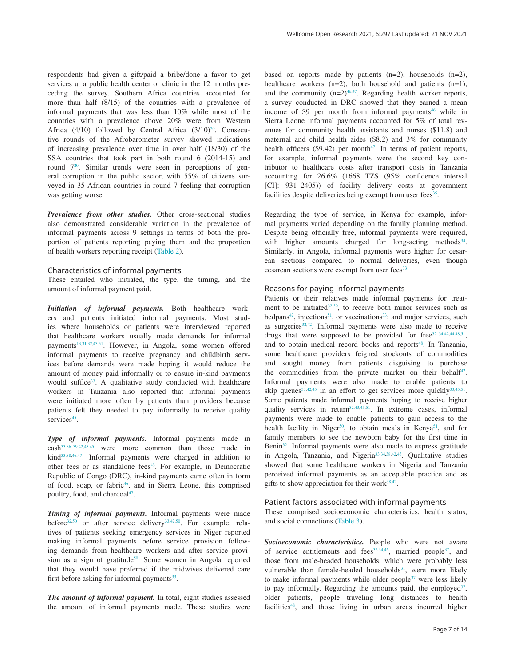respondents had given a gift/paid a bribe/done a favor to get services at a public health center or clinic in the 12 months preceding the survey. Southern Africa countries accounted for more than half (8/15) of the countries with a prevalence of informal payments that was less than 10% while most of the countries with a prevalence above 20% were from Western Africa (4/10) followed by Central Africa  $(3/10)^{20}$ . Consecutive rounds of the Afrobarometer survey showed indications of increasing prevalence over time in over half (18/30) of the SSA countries that took part in both round 6 (2014-15) and round [720](#page-12-0). Similar trends were seen in perceptions of general corruption in the public sector, with 55% of citizens surveyed in 35 African countries in round 7 feeling that corruption

*Prevalence from other studies.* Other cross-sectional studies also demonstrated considerable variation in the prevalence of informal payments across 9 settings in terms of both the proportion of patients reporting paying them and the proportion of health workers reporting receipt ([Table 2](#page-5-0)).

#### Characteristics of informal payments

was getting worse.

These entailed who initiated, the type, the timing, and the amount of informal payment paid.

*Initiation of informal payments.* Both healthcare workers and patients initiated informal payments. Most studies where households or patients were interviewed reported that healthcare workers usually made demands for informal payments<sup>13,[31,32,](#page-12-0)43,51</sup>. However, in Angola, some women offered informal payments to receive pregnancy and childbirth services before demands were made hoping it would reduce the amount of money paid informally or to ensure in-kind payments would suffice<sup>[33](#page-13-0)</sup>. A qualitative study conducted with healthcare workers in Tanzania also reported that informal payments were initiated more often by patients than providers because patients felt they needed to pay informally to receive quality services<sup>45</sup>.

*Type of informal payments.* Informal payments made in cash[33,36–39,42,43,45](#page-13-0) were more common than those made in kind[33,38,46,47.](#page-13-0) Informal payments were charged in addition to other fees or as standalone fees<sup>43</sup>. For example, in Democratic Republic of Congo (DRC), in-kind payments came often in form of food, soap, or fabric<sup>46</sup>, and in Sierra Leone, this comprised poultry, food, and charcoal<sup>47</sup>.

*Timing of informal payments.* Informal payments were made before<sup>[32](#page-12-0)[,50](#page-13-0)</sup> or after service delivery<sup>33,[42,50](#page-13-0)</sup>. For example, relatives of patients seeking emergency services in Niger reported making informal payments before service provision following demands from healthcare workers and after service provi-sion as a sign of gratitude<sup>[50](#page-13-0)</sup>. Some women in Angola reported that they would have preferred if the midwives delivered care first before asking for informal payments<sup>33</sup>.

*The amount of informal payment.* In total, eight studies assessed the amount of informal payments made. These studies were

based on reports made by patients (n=2), households (n=2), healthcare workers (n=2), both household and patients (n=1), and the community  $(n=2)^{46,47}$  $(n=2)^{46,47}$  $(n=2)^{46,47}$ . Regarding health worker reports, a survey conducted in DRC showed that they earned a mean income of \$9 per month from informal payments $46$  while in Sierra Leone informal payments accounted for 5% of total revenues for community health assistants and nurses (\$11.8) and maternal and child health aides (\$8.2) and 3% for community health officers  $(\$9.42)$  per month<sup>[47](#page-13-0)</sup>. In terms of patient reports, for example, informal payments were the second key contributor to healthcare costs after transport costs in Tanzania accounting for 26.6% (1668 TZS (95% confidence interval [CI]: 931–2405)) of facility delivery costs at government facilities despite deliveries being exempt from user fees<sup>35</sup>.

Regarding the type of service, in Kenya for example, informal payments varied depending on the family planning method. Despite being officially free, informal payments were required, with higher amounts charged for long-acting methods<sup>34</sup>. Similarly, in Angola, informal payments were higher for cesarean sections compared to normal deliveries, even though cesarean sections were exempt from user fees<sup>[33](#page-13-0)</sup>.

### Reasons for paying informal payments

Patients or their relatives made informal payments for treatment to be initiated $32,50$  $32,50$ , to receive both minor services such as bedpans<sup>42</sup>, injections<sup>51</sup>, or vaccinations<sup>[33](#page-13-0)</sup>; and major services, such as surgeries $32,42$ . Informal payments were also made to receive drugs that were supposed to be provided for free<sup>[32](#page-12-0)-[34,42,44,48,51](#page-13-0)</sup>, and to obtain medical record books and reports<sup>[48](#page-13-0)</sup>. In Tanzania, some healthcare providers feigned stockouts of commodities and sought money from patients disguising to purchase the commodities from the private market on their behalf<sup>42</sup>. Informal payments were also made to enable patients to skip queues<sup>[33](#page-13-0),42,45</sup> in an effort to get services more quickly<sup>33,[45,51](#page-13-0)</sup>. Some patients made informal payments hoping to receive higher quality services in return<sup>32,[43,45,51](#page-13-0)</sup>. In extreme cases, informal payments were made to enable patients to gain access to the health facility in Niger<sup>50</sup>, to obtain meals in Kenya<sup>51</sup>, and for family members to see the newborn baby for the first time in Benin<sup>32</sup>. Informal payments were also made to express gratitude in Angola, Tanzania, and Nigeria<sup>33,34,38,42,43</sup>. Qualitative studies showed that some healthcare workers in Nigeria and Tanzania perceived informal payments as an acceptable practice and as gifts to show appreciation for their work $38,42$ .

## Patient factors associated with informal payments

These comprised socioeconomic characteristics, health status, and social connections [\(Table 3\)](#page-7-0).

*Socioeconomic characteristics.* People who were not aware of service entitlements and fees $32,34,46$  $32,34,46$ , married people<sup>[37](#page-13-0)</sup>, and those from male-headed households, which were probably less vulnerable than female-headed households<sup>31</sup>, were more likely to make informal payments while older people $37$  were less likely to pay informally. Regarding the amounts paid, the employed  $37$ , older patients, people traveling long distances to health facilities<sup>48</sup>, and those living in urban areas incurred higher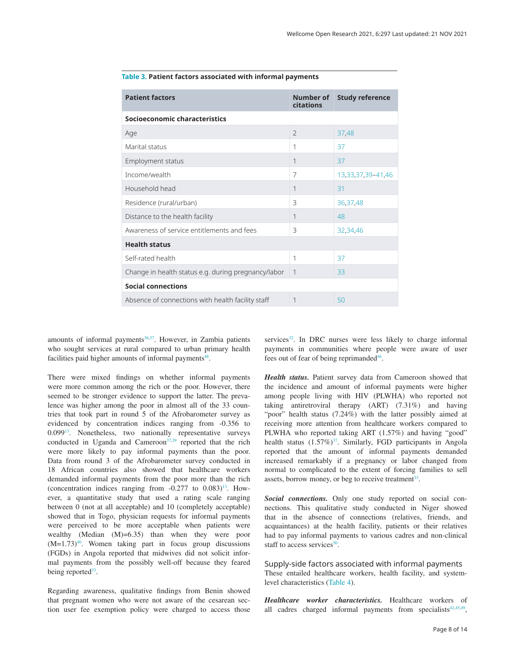| <b>Patient factors</b>                              | Number of<br>citations | <b>Study reference</b> |  |  |
|-----------------------------------------------------|------------------------|------------------------|--|--|
| Socioeconomic characteristics                       |                        |                        |  |  |
| Age                                                 | $\mathcal{L}$          | 37,48                  |  |  |
| Marital status                                      | 1                      | 37                     |  |  |
| Employment status                                   | 1                      | 37                     |  |  |
| Income/wealth                                       | $\overline{7}$         | 13,33,37,39-41,46      |  |  |
| Household head                                      | 1                      | 31                     |  |  |
| Residence (rural/urban)                             | 3                      | 36,37,48               |  |  |
| Distance to the health facility                     | 1                      | 48                     |  |  |
| Awareness of service entitlements and fees          | 3                      | 32,34,46               |  |  |
| <b>Health status</b>                                |                        |                        |  |  |
| Self-rated health                                   | 1                      | 37                     |  |  |
| Change in health status e.g. during pregnancy/labor | 1                      | 33                     |  |  |
| <b>Social connections</b>                           |                        |                        |  |  |
| Absence of connections with health facility staff   | 1                      | 50                     |  |  |

#### <span id="page-7-0"></span>**Table 3. Patient factors associated with informal payments**

amounts of informal payments $36,37$ . However, in Zambia patients who sought services at rural compared to urban primary health facilities paid higher amounts of informal payments<sup>48</sup>.

There were mixed findings on whether informal payments were more common among the rich or the poor. However, there seemed to be stronger evidence to support the latter. The prevalence was higher among the poor in almost all of the 33 countries that took part in round 5 of the Afrobarometer survey as evidenced by concentration indices ranging from -0.356 to 0.099[13](#page-12-0). Nonetheless, two nationally representative surveys conducted in Uganda and Cameroon $37,39$  reported that the rich were more likely to pay informal payments than the poor. Data from round 3 of the Afrobarometer survey conducted in 18 African countries also showed that healthcare workers demanded informal payments from the poor more than the rich (concentration indices ranging from  $-0.277$  to  $0.083$ )<sup>13</sup>. However, a quantitative study that used a rating scale ranging between 0 (not at all acceptable) and 10 (completely acceptable) showed that in Togo, physician requests for informal payments were perceived to be more acceptable when patients were wealthy (Median (M)=6.35) than when they were poor  $(M=1.73)^{40}$ . Women taking part in focus group discussions (FGDs) in Angola reported that midwives did not solicit informal payments from the possibly well-off because they feared being reported<sup>[33](#page-13-0)</sup>.

Regarding awareness, qualitative findings from Benin showed that pregnant women who were not aware of the cesarean section user fee exemption policy were charged to access those

services $32$ . In DRC nurses were less likely to charge informal payments in communities where people were aware of user fees out of fear of being reprimanded<sup>46</sup>.

*Health status.* Patient survey data from Cameroon showed that the incidence and amount of informal payments were higher among people living with HIV (PLWHA) who reported not taking antiretroviral therapy (ART) (7.31%) and having "poor" health status (7.24%) with the latter possibly aimed at receiving more attention from healthcare workers compared to PLWHA who reported taking ART (1.57%) and having "good" health status  $(1.57\%)^{37}$  $(1.57\%)^{37}$  $(1.57\%)^{37}$ . Similarly, FGD participants in Angola reported that the amount of informal payments demanded increased remarkably if a pregnancy or labor changed from normal to complicated to the extent of forcing families to sell assets, borrow money, or beg to receive treatment<sup>33</sup>.

*Social connections.* Only one study reported on social connections. This qualitative study conducted in Niger showed that in the absence of connections (relatives, friends, and acquaintances) at the health facility, patients or their relatives had to pay informal payments to various cadres and non-clinical staff to access services $50$ .

Supply-side factors associated with informal payments These entailed healthcare workers, health facility, and systemlevel characteristics ([Table 4](#page-8-0)).

*Healthcare worker characteristics.* Healthcare workers of all cadres charged informal payments from specialists<sup>[42,45,49](#page-13-0)</sup>,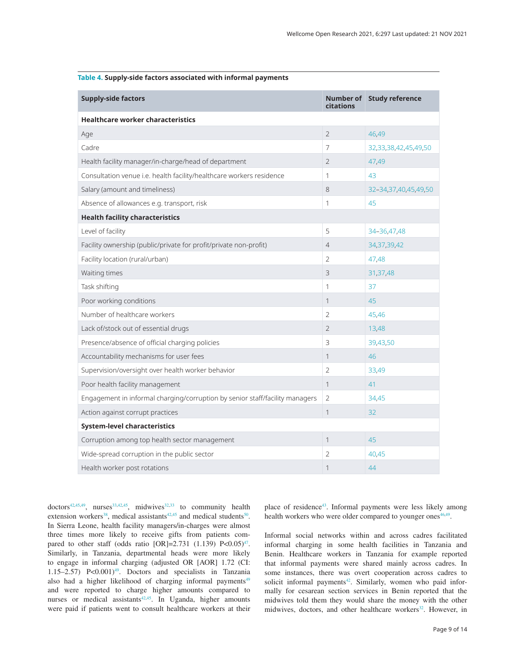<span id="page-8-0"></span>

| Table 4. Supply-side factors associated with informal payments |  |  |
|----------------------------------------------------------------|--|--|
|----------------------------------------------------------------|--|--|

| <b>Supply-side factors</b>                                                   | citations      | Number of Study reference  |
|------------------------------------------------------------------------------|----------------|----------------------------|
| <b>Healthcare worker characteristics</b>                                     |                |                            |
| Age                                                                          | $\overline{2}$ | 46,49                      |
| Cadre                                                                        | 7              | 32, 33, 38, 42, 45, 49, 50 |
| Health facility manager/in-charge/head of department                         | $\overline{2}$ | 47,49                      |
| Consultation venue i.e. health facility/healthcare workers residence         | 1              | 43                         |
| Salary (amount and timeliness)                                               | 8              | 32-34,37,40,45,49,50       |
| Absence of allowances e.g. transport, risk                                   | 1              | 45                         |
| <b>Health facility characteristics</b>                                       |                |                            |
| Level of facility                                                            | 5              | 34-36,47,48                |
| Facility ownership (public/private for profit/private non-profit)            | $\overline{4}$ | 34, 37, 39, 42             |
| Facility location (rural/urban)                                              | $\overline{2}$ | 47,48                      |
| Waiting times                                                                | 3              | 31,37,48                   |
| Task shifting                                                                | $\mathbf{1}$   | 37                         |
| Poor working conditions                                                      | 1              | 45                         |
| Number of healthcare workers                                                 | $\overline{2}$ | 45,46                      |
| Lack of/stock out of essential drugs                                         | $\overline{2}$ | 13,48                      |
| Presence/absence of official charging policies                               | 3              | 39,43,50                   |
| Accountability mechanisms for user fees                                      | $\mathbf{1}$   | 46                         |
| Supervision/oversight over health worker behavior                            | $\overline{2}$ | 33,49                      |
| Poor health facility management                                              | $\mathbf{1}$   | 41                         |
| Engagement in informal charging/corruption by senior staff/facility managers | $\overline{2}$ | 34,45                      |
| Action against corrupt practices                                             | 1              | 32                         |
| <b>System-level characteristics</b>                                          |                |                            |
| Corruption among top health sector management                                | 1              | 45                         |
| Wide-spread corruption in the public sector                                  | $\overline{2}$ | 40,45                      |
| Health worker post rotations                                                 | 1              | 44                         |

 $dotors<sup>42,45,49</sup>, *nurses<sup>33,42,45</sup>*, midwives<sup>32,33</sup> to community health$  $dotors<sup>42,45,49</sup>, *nurses<sup>33,42,45</sup>*, midwives<sup>32,33</sup> to community health$  $dotors<sup>42,45,49</sup>, *nurses<sup>33,42,45</sup>*, midwives<sup>32,33</sup> to community health$  $dotors<sup>42,45,49</sup>, *nurses<sup>33,42,45</sup>*, midwives<sup>32,33</sup> to community health$ extension workers<sup>[38](#page-13-0)</sup>, medical assistants<sup>[42,45](#page-13-0)</sup> and medical students<sup>50</sup>. In Sierra Leone, health facility managers/in-charges were almost three times more likely to receive gifts from patients compared to other staff (odds ratio  $[OR]=2.731$  (1.139)  $P<0.05)^{47}$ . Similarly, in Tanzania, departmental heads were more likely to engage in informal charging (adjusted OR [AOR] 1.72 (CI: 1.15–2.57) P<0.001[\)49.](#page-13-0) Doctors and specialists in Tanzania also had a higher likelihood of charging informal payments<sup>49</sup> and were reported to charge higher amounts compared to nurses or medical assistants<sup> $42,45$ </sup>. In Uganda, higher amounts were paid if patients went to consult healthcare workers at their place of residence<sup>[43](#page-13-0)</sup>. Informal payments were less likely among health workers who were older compared to younger ones<sup>46,49</sup>.

Informal social networks within and across cadres facilitated informal charging in some health facilities in Tanzania and Benin. Healthcare workers in Tanzania for example reported that informal payments were shared mainly across cadres. In some instances, there was overt cooperation across cadres to solicit informal payments<sup>42</sup>. Similarly, women who paid informally for cesarean section services in Benin reported that the midwives told them they would share the money with the other midwives, doctors, and other healthcare workers<sup>32</sup>. However, in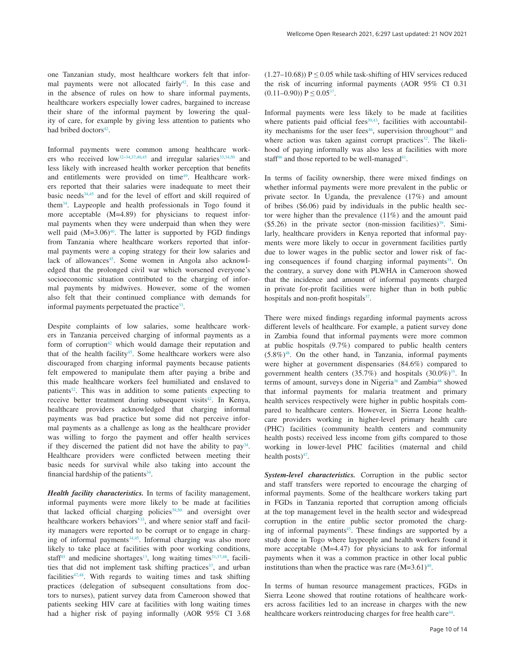one Tanzanian study, most healthcare workers felt that informal payments were not allocated fairly<sup>42</sup>. In this case and in the absence of rules on how to share informal payments, healthcare workers especially lower cadres, bargained to increase their share of the informal payment by lowering the quality of care, for example by giving less attention to patients who had bribed doctors<sup>42</sup>.

Informal payments were common among healthcare workers who received  $low^{32-34,37,40,45}$  $low^{32-34,37,40,45}$  $low^{32-34,37,40,45}$  and irregular salaries<sup>33,34,50</sup> and less likely with increased health worker perception that benefits and entitlements were provided on time<sup>[49](#page-13-0)</sup>. Healthcare workers reported that their salaries were inadequate to meet their basic needs<sup>34,45</sup> and for the level of effort and skill required of them[34.](#page-13-0) Laypeople and health professionals in Togo found it more acceptable (M=4.89) for physicians to request informal payments when they were underpaid than when they were well paid  $(M=3.06)^{40}$  $(M=3.06)^{40}$  $(M=3.06)^{40}$ . The latter is supported by FGD findings from Tanzania where healthcare workers reported that informal payments were a coping strategy for their low salaries and lack of allowances<sup>[45](#page-13-0)</sup>. Some women in Angola also acknowledged that the prolonged civil war which worsened everyone's socioeconomic situation contributed to the charging of informal payments by midwives. However, some of the women also felt that their continued compliance with demands for informal payments perpetuated the practice<sup>33</sup>.

Despite complaints of low salaries, some healthcare workers in Tanzania perceived charging of informal payments as a form of corruption<sup>[42](#page-13-0)</sup> which would damage their reputation and that of the health facility<sup>45</sup>. Some healthcare workers were also discouraged from charging informal payments because patients felt empowered to manipulate them after paying a bribe and this made healthcare workers feel humiliated and enslaved to patients<sup>52</sup>. This was in addition to some patients expecting to receive better treatment during subsequent visits<sup>42</sup>. In Kenya, healthcare providers acknowledged that charging informal payments was bad practice but some did not perceive informal payments as a challenge as long as the healthcare provider was willing to forgo the payment and offer health services if they discerned the patient did not have the ability to  $pay<sup>34</sup>$ . Healthcare providers were conflicted between meeting their basic needs for survival while also taking into account the financial hardship of the patients $34$ .

*Health facility characteristics.* In terms of facility management, informal payments were more likely to be made at facilities that lacked official charging policies<sup>39,50</sup> and oversight over healthcare workers behaviors'<sup>33</sup>, and where senior staff and facility managers were reported to be corrupt or to engage in charging of informal payments $34,45$ . Informal charging was also more likely to take place at facilities with poor working conditions, staff $45$  and medicine shortages<sup>13</sup>, long waiting times $31,37,48$  $31,37,48$  $31,37,48$ , facilities that did not implement task shifting practices<sup>37</sup>, and urban facilities $47,48$ . With regards to waiting times and task shifting practices (delegation of subsequent consultations from doctors to nurses), patient survey data from Cameroon showed that patients seeking HIV care at facilities with long waiting times had a higher risk of paying informally (AOR 95% CI 3.68

(1.27–10.68))  $P \le 0.05$  while task-shifting of HIV services reduced the risk of incurring informal payments (AOR 95% CI 0.31  $(0.11-0.90)$ )  $P \le 0.05^{37}$ .

Informal payments were less likely to be made at facilities where patients paid official fees $39,43$ , facilities with accountabil-ity mechanisms for the user fees<sup>[46](#page-13-0)</sup>, supervision throughout<sup>49</sup> and where action was taken against corrupt practices<sup>32</sup>. The likelihood of paying informally was also less at facilities with more staff $46$  and those reported to be well-managed $41$ .

In terms of facility ownership, there were mixed findings on whether informal payments were more prevalent in the public or private sector. In Uganda, the prevalence (17%) and amount of bribes (\$6.06) paid by individuals in the public health sector were higher than the prevalence (11%) and the amount paid  $($5.26)$  in the private sector (non-mission facilities)<sup>39</sup>. Similarly, healthcare providers in Kenya reported that informal payments were more likely to occur in government facilities partly due to lower wages in the public sector and lower risk of facing consequences if found charging informal payments $34$ . On the contrary, a survey done with PLWHA in Cameroon showed that the incidence and amount of informal payments charged in private for-profit facilities were higher than in both public hospitals and non-profit hospitals $37$ .

There were mixed findings regarding informal payments across different levels of healthcare. For example, a patient survey done in Zambia found that informal payments were more common at public hospitals (9.7%) compared to public health centers  $(5.8\%)$ <sup>48</sup>. On the other hand, in Tanzania, informal payments were higher at government dispensaries (84.6%) compared to government health centers ([35](#page-13-0).7%) and hospitals (30.0%)<sup>35</sup>. In terms of amount, surveys done in Nigeria<sup>36</sup> and Zambia<sup>48</sup> showed that informal payments for malaria treatment and primary health services respectively were higher in public hospitals compared to healthcare centers. However, in Sierra Leone healthcare providers working in higher-level primary health care (PHC) facilities (community health centers and community health posts) received less income from gifts compared to those working in lower-level PHC facilities (maternal and child health posts $)^{47}$ .

*System-level characteristics.* Corruption in the public sector and staff transfers were reported to encourage the charging of informal payments. Some of the healthcare workers taking part in FGDs in Tanzania reported that corruption among officials at the top management level in the health sector and widespread corruption in the entire public sector promoted the charging of informal payments<sup>45</sup>. These findings are supported by a study done in Togo where laypeople and health workers found it more acceptable (M=4.47) for physicians to ask for informal payments when it was a common practice in other local public institutions than when the practice was rare  $(M=3.61)^{40}$ .

In terms of human resource management practices, FGDs in Sierra Leone showed that routine rotations of healthcare workers across facilities led to an increase in charges with the new healthcare workers reintroducing charges for free health care<sup>44</sup>.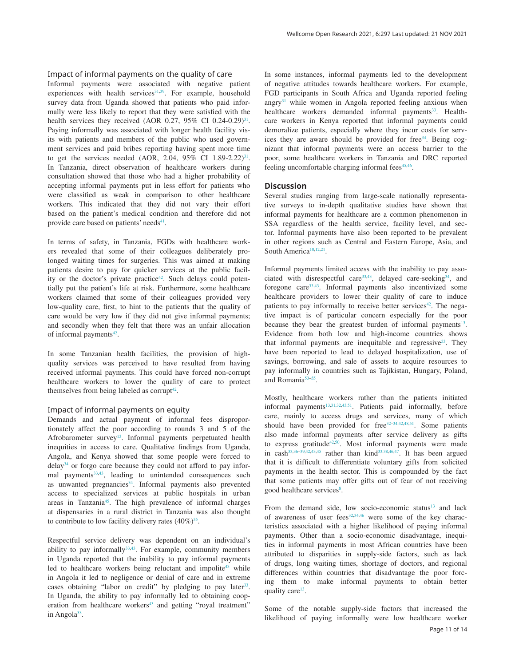## Impact of informal payments on the quality of care

Informal payments were associated with negative patient experiences with health services $31,39$  $31,39$ . For example, household survey data from Uganda showed that patients who paid informally were less likely to report that they were satisfied with the health services they received (AOR 0.27, 95% CI 0.24-0.29)<sup>31</sup>. Paying informally was associated with longer health facility visits with patients and members of the public who used government services and paid bribes reporting having spent more time to get the services needed (AOR, 2.04, 95% CI  $1.89-2.22$ )<sup>31</sup>. In Tanzania, direct observation of healthcare workers during consultation showed that those who had a higher probability of accepting informal payments put in less effort for patients who were classified as weak in comparison to other healthcare workers. This indicated that they did not vary their effort based on the patient's medical condition and therefore did not provide care based on patients' needs<sup>41</sup>.

In terms of safety, in Tanzania, FGDs with healthcare workers revealed that some of their colleagues deliberately prolonged waiting times for surgeries. This was aimed at making patients desire to pay for quicker services at the public facility or the doctor's private practice<sup>42</sup>. Such delays could potentially put the patient's life at risk. Furthermore, some healthcare workers claimed that some of their colleagues provided very low-quality care, first, to hint to the patients that the quality of care would be very low if they did not give informal payments; and secondly when they felt that there was an unfair allocation of informal payments $42$ .

In some Tanzanian health facilities, the provision of highquality services was perceived to have resulted from having received informal payments. This could have forced non-corrupt healthcare workers to lower the quality of care to protect themselves from being labeled as corrupt $42$ .

#### Impact of informal payments on equity

Demands and actual payment of informal fees disproportionately affect the poor according to rounds 3 and 5 of the Afrobarometer survey<sup>13</sup>. Informal payments perpetuated health inequities in access to care. Qualitative findings from Uganda, Angola, and Kenya showed that some people were forced to dela[y34](#page-13-0) or forgo care because they could not afford to pay informal payments<sup>33,43</sup>, leading to unintended consequences such as unwanted pregnancies $34$ . Informal payments also prevented access to specialized services at public hospitals in urban areas in Tanzania<sup>45</sup>. The high prevalence of informal charges at dispensaries in a rural district in Tanzania was also thought to contribute to low facility delivery rates  $(40\%)^{35}$ .

Respectful service delivery was dependent on an individual's ability to pay informally $33,43$  $33,43$ . For example, community members in Uganda reported that the inability to pay informal payments led to healthcare workers being reluctant and impolite<sup>43</sup> while in Angola it led to negligence or denial of care and in extreme cases obtaining "labor on credit" by pledging to pay later<sup>33</sup>. In Uganda, the ability to pay informally led to obtaining cooperation from healthcare workers<sup>43</sup> and getting "royal treatment" in Angola $33$ .

In some instances, informal payments led to the development of negative attitudes towards healthcare workers. For example, FGD participants in South Africa and Uganda reported feeling angry $31$  while women in Angola reported feeling anxious when healthcare workers demanded informal payments<sup>33</sup>. Healthcare workers in Kenya reported that informal payments could demoralize patients, especially where they incur costs for services they are aware should be provided for free<sup>34</sup>. Being cognizant that informal payments were an access barrier to the poor, some healthcare workers in Tanzania and DRC reported feeling uncomfortable charging informal fees<sup>45,46</sup>.

#### **Discussion**

Several studies ranging from large-scale nationally representative surveys to in-depth qualitative studies have shown that informal payments for healthcare are a common phenomenon in SSA regardless of the health service, facility level, and sector. Informal payments have also been reported to be prevalent in other regions such as Central and Eastern Europe, Asia, and South America<sup>10,12,21</sup>.

Informal payments limited access with the inability to pay associated with disrespectful care<sup>33,43</sup>, delayed care-seeking<sup>34</sup>, and foregone care[33,43](#page-13-0). Informal payments also incentivized some healthcare providers to lower their quality of care to induce patients to pay informally to receive better services<sup>42</sup>. The negative impact is of particular concern especially for the poor because they bear the greatest burden of informal payments<sup>13</sup>. Evidence from both low and high-income countries shows that informal payments are inequitable and regressive<sup>53</sup>. They have been reported to lead to delayed hospitalization, use of savings, borrowing, and sale of assets to acquire resources to pay informally in countries such as Tajikistan, Hungary, Poland, and Romania<sup>53-55</sup>.

Mostly, healthcare workers rather than the patients initiated informal payments<sup>13,[31,32,](#page-12-0)43,51</sup>. Patients paid informally, before care, mainly to access drugs and services, many of which should have been provided for  $free^{32-34,42,48,51}$  $free^{32-34,42,48,51}$  $free^{32-34,42,48,51}$ . Some patients also made informal payments after service delivery as gifts to express gratitude<sup>[42](#page-13-0),50</sup>. Most informal payments were made in cash<sup>[33,36–39](#page-13-0),[42,43,45](#page-13-0)</sup> rather than kind<sup>[33,38](#page-13-0),[46,47](#page-13-0)</sup>. It has been argued that it is difficult to differentiate voluntary gifts from solicited payments in the health sector. This is compounded by the fact that some patients may offer gifts out of fear of not receiving good healthcare services<sup>8</sup>.

From the demand side, low socio-economic status<sup>13</sup> and lack of awareness of user fees $32,34,46$  $32,34,46$  were some of the key characteristics associated with a higher likelihood of paying informal payments. Other than a socio-economic disadvantage, inequities in informal payments in most African countries have been attributed to disparities in supply-side factors, such as lack of drugs, long waiting times, shortage of doctors, and regional differences within countries that disadvantage the poor forcing them to make informal payments to obtain better quality care<sup>[13](#page-12-0)</sup>.

Some of the notable supply-side factors that increased the likelihood of paying informally were low healthcare worker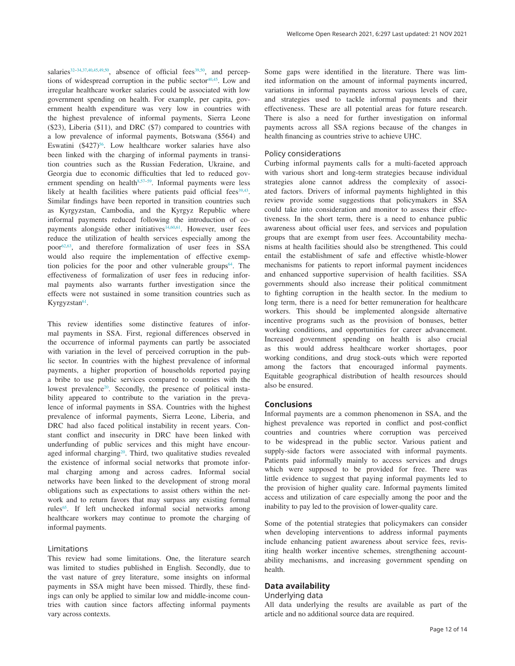salaries<sup>32-[34,37](#page-13-0),[40,45](#page-13-0),49,50</sup>, absence of official fees<sup>[39,50](#page-13-0)</sup>, and perceptions of widespread corruption in the public sector<sup>40,45</sup>. Low and irregular healthcare worker salaries could be associated with low government spending on health. For example, per capita, government health expenditure was very low in countries with the highest prevalence of informal payments, Sierra Leone (\$23), Liberia (\$11), and DRC (\$7) compared to countries with a low prevalence of informal payments, Botswana (\$564) and Eswatini  $(\$427)$ <sup>56</sup>. Low healthcare worker salaries have also been linked with the charging of informal payments in transition countries such as the Russian Federation, Ukraine, and Georgia due to economic difficulties that led to reduced government spending on health<sup>8,57-59</sup>. Informal payments were less likely at health facilities where patients paid official fees $39,43$ . Similar findings have been reported in transition countries such as Kyrgyzstan, Cambodia, and the Kyrgyz Republic where informal payments reduced following the introduction of copayments alongside other initiatives<sup>14,60,61</sup>. However, user fees reduce the utilization of health services especially among the poor<sup>62,63</sup>, and therefore formalization of user fees in SSA would also require the implementation of effective exemption policies for the poor and other vulnerable groups $64$ . The effectiveness of formalization of user fees in reducing informal payments also warrants further investigation since the effects were not sustained in some transition countries such as Kyrgyzstan<sup>[61](#page-13-0)</sup>.

This review identifies some distinctive features of informal payments in SSA. First, regional differences observed in the occurrence of informal payments can partly be associated with variation in the level of perceived corruption in the public sector. In countries with the highest prevalence of informal payments, a higher proportion of households reported paying a bribe to use public services compared to countries with the lowest prevalence<sup>[20](#page-12-0)</sup>. Secondly, the presence of political instability appeared to contribute to the variation in the prevalence of informal payments in SSA. Countries with the highest prevalence of informal payments, Sierra Leone, Liberia, and DRC had also faced political instability in recent years. Constant conflict and insecurity in DRC have been linked with underfunding of public services and this might have encouraged informal charging<sup>20</sup>. Third, two qualitative studies revealed the existence of informal social networks that promote informal charging among and across cadres. Informal social networks have been linked to the development of strong moral obligations such as expectations to assist others within the network and to return favors that may surpass any existing formal rules<sup>65</sup>. If left unchecked informal social networks among healthcare workers may continue to promote the charging of informal payments.

#### Limitations

This review had some limitations. One, the literature search was limited to studies published in English. Secondly, due to the vast nature of grey literature, some insights on informal payments in SSA might have been missed. Thirdly, these findings can only be applied to similar low and middle-income countries with caution since factors affecting informal payments vary across contexts.

Some gaps were identified in the literature. There was limited information on the amount of informal payments incurred, variations in informal payments across various levels of care, and strategies used to tackle informal payments and their effectiveness. These are all potential areas for future research. There is also a need for further investigation on informal payments across all SSA regions because of the changes in health financing as countries strive to achieve UHC.

#### Policy considerations

Curbing informal payments calls for a multi-faceted approach with various short and long-term strategies because individual strategies alone cannot address the complexity of associated factors. Drivers of informal payments highlighted in this review provide some suggestions that policymakers in SSA could take into consideration and monitor to assess their effectiveness. In the short term, there is a need to enhance public awareness about official user fees, and services and population groups that are exempt from user fees. Accountability mechanisms at health facilities should also be strengthened. This could entail the establishment of safe and effective whistle-blower mechanisms for patients to report informal payment incidences and enhanced supportive supervision of health facilities. SSA governments should also increase their political commitment to fighting corruption in the health sector. In the medium to long term, there is a need for better remuneration for healthcare workers. This should be implemented alongside alternative incentive programs such as the provision of bonuses, better working conditions, and opportunities for career advancement. Increased government spending on health is also crucial as this would address healthcare worker shortages, poor working conditions, and drug stock-outs which were reported among the factors that encouraged informal payments. Equitable geographical distribution of health resources should also be ensured.

#### **Conclusions**

Informal payments are a common phenomenon in SSA, and the highest prevalence was reported in conflict and post-conflict countries and countries where corruption was perceived to be widespread in the public sector. Various patient and supply-side factors were associated with informal payments. Patients paid informally mainly to access services and drugs which were supposed to be provided for free. There was little evidence to suggest that paying informal payments led to the provision of higher quality care. Informal payments limited access and utilization of care especially among the poor and the inability to pay led to the provision of lower-quality care.

Some of the potential strategies that policymakers can consider when developing interventions to address informal payments include enhancing patient awareness about service fees, revisiting health worker incentive schemes, strengthening accountability mechanisms, and increasing government spending on health.

#### **Data availability**

#### Underlying data

All data underlying the results are available as part of the article and no additional source data are required.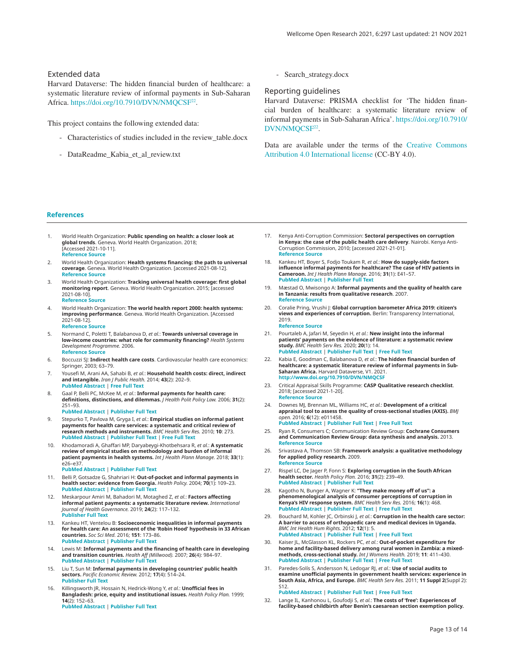## <span id="page-12-0"></span>Extended data

Harvard Dataverse: The hidden financial burden of healthcare: a systematic literature review of informal payments in Sub-Saharan Africa. https://doi.org/10.7910/DVN/NMOCSF<sup>22</sup>.

This project contains the following extended data:

- Characteristics of studies included in the review\_table.docx
- DataReadme\_Kabia\_et\_al\_review.txt

- Search\_strategy.docx

Reporting guidelines

Harvard Dataverse: PRISMA checklist for 'The hidden financial burden of healthcare: a systematic literature review of informal payments in Sub-Saharan Africa'. [https://doi.org/10.7910/](https://doi.org/10.7910/DVN/NMQCSF) [DVN/NMQCSF](https://doi.org/10.7910/DVN/NMQCSF)<sup>22</sup>.

Data are available under the terms of the [Creative Commons](https://creativecommons.org/licenses/by/4.0/)  [Attribution 4.0 International license](https://creativecommons.org/licenses/by/4.0/) (CC-BY 4.0).

#### **References**

- 1. World Health Organization: **Public spending on health: a closer look at global trends**. Geneva. World Health Organization. 2018; [Accessed 2021-10-11]. **[Reference Source](https://www.who.int/publications/i/item/WHO-HIS-HGF-HFWorkingPaper-18.3)**
- 2. World Health Organization: **Health systems financing: the path to universal coverage**. Geneva. World Health Organization. [accessed 2021-08-12]. **[Reference Source](https://apps.who.int/iris/bitstream/handle/10665/44371/9789241564021_eng.pdf?sequence=1&isAllowed=y)**
- 3. World Health Organization: **Tracking universal health coverage: first global monitoring report**. Geneva. World Health Organization. 2015; [accessed 2021-08-10]. **[Reference Source](https://www.who.int/publications/i/item/9789241564977)**
- 4. World Health Organization: **The world health report 2000: health systems: improving performance**. Geneva. World Health Organization. [Accessed 2021-08-12]. **[Reference Source](https://www.who.int/whr/2000/en/whr00_en.pdf)**
- 5. Normand C, Poletti T, Balabanova D, *et al.*: **Towards universal coverage in low-income countries: what role for community financing?** *Health Systems Development Programme.* 2006. **[Reference Source](https://www.gov.uk/research-for-development-outputs/towards-universal-coverage-in-low-income-countries-what-role-for-community-financing)**
- 6. Boccuzzi SJ: **Indirect health care costs**. Cardiovascular health care economics: Springer, 2003; 63–79.
- 7. Yousefi M, Arani AA, Sahabi B, *et al.*: **Household health costs: direct, indirect and intangible.** *Iran J Public Health.* 2014; **43**(2): 202–9. **[PubMed Abstract](http://www.ncbi.nlm.nih.gov/pubmed/26060744)** | **[Free Full Text](http://www.ncbi.nlm.nih.gov/pmc/articles/4450688)**
- 8. Gaal P, Belli PC, McKee M, *et al.*: **Informal payments for health care: definitions, distinctions, and dilemmas.** *J Health Polit Policy Law.* 2006; **31**(2): 251–93. **[PubMed Abstract](http://www.ncbi.nlm.nih.gov/pubmed/16638832)** | **[Publisher Full Text](http://dx.doi.org/10.1215/03616878-31-2-251)**
- 9. Stepurko T, Pavlova M, Gryga I, *et al.*: **Empirical studies on informal patient payments for health care services: a systematic and critical review of research methods and instruments.** *BMC Health Serv Res.* 2010; **10**: 273. **[PubMed Abstract](http://www.ncbi.nlm.nih.gov/pubmed/20849658)** | **[Publisher Full Text](http://dx.doi.org/10.1186/1472-6963-10-273)** | **[Free Full Text](http://www.ncbi.nlm.nih.gov/pmc/articles/2955014)**
- 10. Khodamoradi A, Ghaffari MP, Daryabeygi-Khotbehsara R, *et al.*: **A systematic review of empirical studies on methodology and burden of informal patient payments in health systems.** *Int J Health Plann Manage.* 2018; **33**(1): e26–e37. **[PubMed Abstract](http://www.ncbi.nlm.nih.gov/pubmed/29076562)** | **[Publisher Full Text](http://dx.doi.org/10.1002/hpm.2464)**
- 11. Belli P, Gotsadze G, Shahriari H: **Out-of-pocket and informal payments in health sector: evidence from Georgia.** *Health Policy.* 2004; **70**(1): 109–23. **[PubMed Abstract](http://www.ncbi.nlm.nih.gov/pubmed/15312713)** | **[Publisher Full Text](http://dx.doi.org/10.1016/j.healthpol.2004.03.007)**
- 12. Meskarpour Amiri M, Bahadori M, Motaghed Z, *et al.*: **Factors affecting informal patient payments: a systematic literature review.** *International Journal of Health Governance.* 2019; **24**(2): 117–132. **[Publisher Full Text](http://dx.doi.org/10.1108/IJHG-01-2019-0006)**
- 13. Kankeu HT, Ventelou B: **Socioeconomic inequalities in informal payments for health care: An assessment of the 'Robin Hood' hypothesis in 33 African countries.** *Soc Sci Med.* 2016; **151**: 173–86. **[PubMed Abstract](http://www.ncbi.nlm.nih.gov/pubmed/26808336)** | **[Publisher Full Text](http://dx.doi.org/10.1016/j.socscimed.2016.01.015)**
- 14. Lewis M: **Informal payments and the financing of health care in developing and transition countries.** *Health Aff (Millwood).* 2007; **26**(4): 984–97. **[PubMed Abstract](http://www.ncbi.nlm.nih.gov/pubmed/17630441)** | **[Publisher Full Text](http://dx.doi.org/10.1377/hlthaff.26.4.984)**
- 15. Liu T, Sun M: **Informal payments in developing countries' public health sectors.** *Pacific Economic Review.* 2012; **17**(4): 514–24. **[Publisher Full Text](http://dx.doi.org/10.1111/j.1468-0106.2012.00597.x)**
- 16. Killingsworth JR, Hossain N, Hedrick-Wong Y, *et al.*: **Unofficial fees in Bangladesh: price, equity and institutional issues.** *Health Policy Plan.* 1999; **14**(2): 152–63. **[PubMed Abstract](http://www.ncbi.nlm.nih.gov/pubmed/10538718)** | **[Publisher Full Text](http://dx.doi.org/10.1093/heapol/14.2.152)**
- 17. Kenya Anti-Corruption Commission: **Sectoral perspectives on corruption in Kenya: the case of the public health care delivery**. Nairobi. Kenya Anti-Corruption Commission, 2010; [accessed 2021-21-01]. **[Reference Source](https://eacc.go.ke/default/wp-content/uploads/2018/09/health-report.pdf)**
- 18. Kankeu HT, Boyer S, Fodjo Toukam R, *et al.*: **How do supply-side factors influence informal payments for healthcare? The case of HIV patients in Cameroon.** *Int J Health Plann Manage.* 2016; **31**(1): E41–57. **[PubMed Abstract](http://www.ncbi.nlm.nih.gov/pubmed/25130179)** | **[Publisher Full Text](http://dx.doi.org/10.1002/hpm.2266)**
- 19. Mæstad O, Mwisongo A: **Informal payments and the quality of health care in Tanzania: results from qualitative research**. 2007. **[Reference Source](https://papers.ssrn.com/sol3/papers.cfm?abstract_id=994745)**
- 20. Coralie Pring, Vrushi J: **Global corruption barometer Africa 2019: citizen's views and experiences of corruption.** Berlin: Transparency International, 2019. **[Reference Source](https://www.transparency.org/en/publications/gcb-africa-2019)**
- 21. Pourtaleb A, Jafari M, Seyedin H, *et al.*: **New insight into the informal patients' payments on the evidence of literature: a systematic review study.** *BMC Health Serv Res.* 2020; **20**(1): 14. **[PubMed Abstract](http://www.ncbi.nlm.nih.gov/pubmed/31902368)** | **[Publisher Full Text](http://dx.doi.org/10.1186/s12913-019-4647-3)** | **[Free Full Text](http://www.ncbi.nlm.nih.gov/pmc/articles/6943960)**
- 22. Kabia E, Goodman C, Balabanova D, *et al.*: **The hidden financial burden of healthcare: a systematic literature review of informal payments in Sub-Saharan Africa.** Harvard Dataverse, V1. 2021. **[http://www.doi.org/10.7910/DVN/NMQCS](http://www.doi.org/10.7910/DVN/NMQCSF)F**
- 23. Critical Appraisal Skills Programme: **CASP Qualitative research checklist**. 2018; [accessed 2021-1-20]. **[Reference Source](https://casp-uk.b-cdn.net/wp-content/uploads/2018/03/CASP-Qualitative-Checklist-2018_fillable_form.pdf)**
- 24. Downes MJ, Brennan ML, Williams HC, *et al.*: **Development of a critical appraisal tool to assess the quality of cross-sectional studies (AXIS).** *BMJ open.* 2016; **6**(12): e011458. **[PubMed Abstract](http://www.ncbi.nlm.nih.gov/pubmed/27932337)** | **[Publisher Full Text](http://dx.doi.org/10.1136/bmjopen-2016-011458)** | **[Free Full Text](http://www.ncbi.nlm.nih.gov/pmc/articles/5168618)**
- 25. Ryan R, Consumers C; Communication Review Group: **Cochrane Consumers and Communication Review Group: data synthesis and analysis.** 2013. **[Reference Source](https://cccrg.cochrane.org/sites/cccrg.cochrane.org/files/public/uploads/Analysis.pdf)**
- 26. Srivastava A, Thomson SB: **Framework analysis: a qualitative methodology for applied policy research.** 2009. **[Reference Source](http://research.apc.org/images/a/ad/Framework_analysis.pdf)**
- 27. Rispel LC, De Jager P, Fonn S: **Exploring corruption in the South African health sector.** *Health Policy Plan.* 2016; **31**(2): 239–49. **[PubMed Abstract](http://www.ncbi.nlm.nih.gov/pubmed/26104821)** | **[Publisher Full Text](http://dx.doi.org/10.1093/heapol/czv047)**
- 28. Kagotho N, Bunger A, Wagner K: **"They make money off of us": a phenomenological analysis of consumer perceptions of corruption in Kenya's HIV response system.** *BMC Health Serv Res.* 2016; **16**(1): 468. **[PubMed Abstract](http://www.ncbi.nlm.nih.gov/pubmed/27595765)** | **[Publisher Full Text](http://dx.doi.org/10.1186/s12913-016-1721-y)** | **[Free Full Text](http://www.ncbi.nlm.nih.gov/pmc/articles/5011864)**
- 29. Bouchard M, Kohler JC, Orbinski J, *et al.*: **Corruption in the health care sector: A barrier to access of orthopaedic care and medical devices in Uganda.** *BMC Int Health Hum Rights.* 2012; **12**(1): 5. **[PubMed Abstract](http://www.ncbi.nlm.nih.gov/pubmed/22554349)** | **[Publisher Full Text](http://dx.doi.org/10.1186/1472-698X-12-5)** | **[Free Full Text](http://www.ncbi.nlm.nih.gov/pmc/articles/3492067)**
- 30. Kaiser JL, McGlasson KL, Rockers PC, *et al.*: **Out-of-pocket expenditure for home and facility-based delivery among rural women in Zambia: a mixedmethods, cross-sectional study.** *Int J Womens Health.* 2019; **11**: 411–430. **[PubMed Abstract](http://www.ncbi.nlm.nih.gov/pubmed/31447591)** | **[Publisher Full Text](http://dx.doi.org/10.2147/IJWH.S214081)** | **[Free Full Text](http://www.ncbi.nlm.nih.gov/pmc/articles/6682766)**
- 31. Paredes-Solís S, Andersson N, Ledogar RJ, *et al.*: **Use of social audits to examine unofficial payments in government health services: experience in South Asia, Africa, and Europe.** *BMC Health Serv Res.* 2011; **11 Suppl 2**(Suppl 2): S12. **[PubMed Abstract](http://www.ncbi.nlm.nih.gov/pubmed/22376233)** | **[Publisher Full Text](http://dx.doi.org/10.1186/1472-6963-11-S2-S12)** | **[Free Full Text](http://www.ncbi.nlm.nih.gov/pmc/articles/3332556)**
- 32. Lange IL, Kanhonou L, Goufodji S, *et al.*: **The costs of 'free': Experiences of facility-based childbirth after Benin's caesarean section exemption policy.**